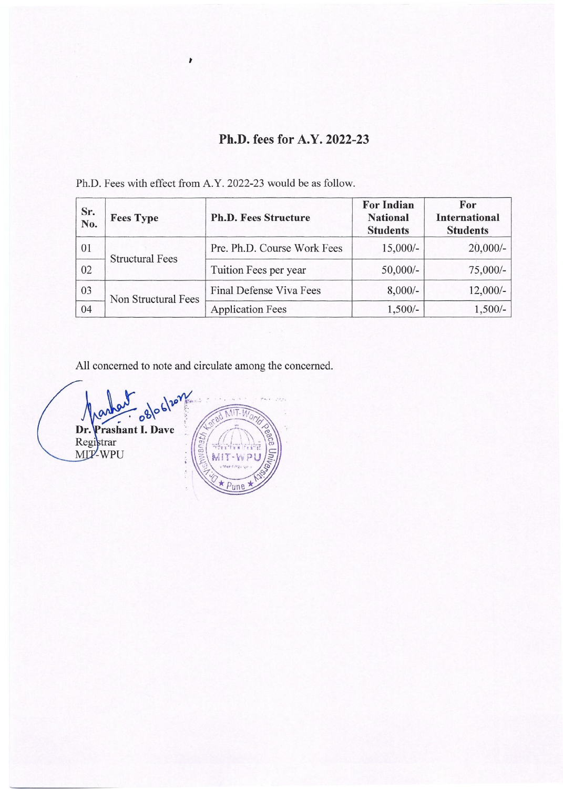## **Ph.D. fees for A.Y. 2022-23**

Ph.D. Fees with effect from A.Y. 2022-23 would be as follow.

 $\pmb{r}$ 

| Sr.<br>No. | <b>Fees Type</b>       | <b>Ph.D. Fees Structure</b> | <b>For Indian</b><br><b>National</b><br><b>Students</b> | For<br><b>International</b><br><b>Students</b> |
|------------|------------------------|-----------------------------|---------------------------------------------------------|------------------------------------------------|
| 01         |                        | Pre. Ph.D. Course Work Fees | $15,000/-$                                              | $20,000/-$                                     |
| 02         | <b>Structural Fees</b> | Tuition Fees per year       | $50,000/-$                                              | $75,000/-$                                     |
| 03         | Non Structural Fees    | Final Defense Viva Fees     | $8,000/-$                                               | $12,000/-$                                     |
| 04         |                        | <b>Application Fees</b>     | $1,500/-$                                               | $1,500/-$                                      |

All concerned to note and circulate among the concerned.

 $68$ Prashant I. Dave Dr. Registrar<br>MIT-WPU ana+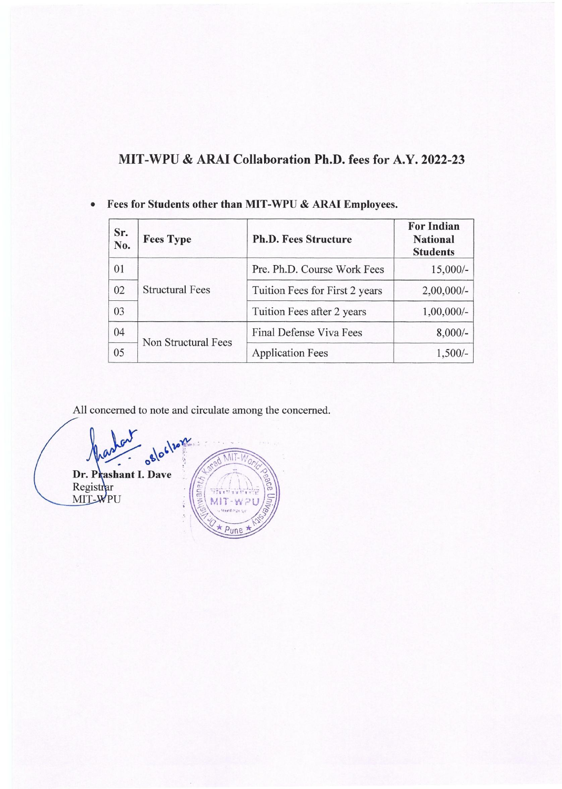## **MIT-WPU & ARAI Collaboration Ph.D. fees for A.Y. 2022-23**

| Sr.<br>No. | <b>Fees Type</b>       | <b>Ph.D. Fees Structure</b>    | <b>For Indian</b><br><b>National</b><br><b>Students</b> |
|------------|------------------------|--------------------------------|---------------------------------------------------------|
| 01         | <b>Structural Fees</b> | Pre. Ph.D. Course Work Fees    | $15,000/-$                                              |
| 02         |                        | Tuition Fees for First 2 years | $2,00,000/$ -                                           |
| 03         |                        | Tuition Fees after 2 years     | $1,00,000/-$                                            |
| 04         |                        | <b>Final Defense Viva Fees</b> | $8,000/-$                                               |
| 05         | Non Structural Fees    | <b>Application Fees</b>        | $1,500/-$                                               |

**• Fees for Students other than MIT - WPU & ARAI Employees.** 

All concerned to note and circulate among the concerned.

oglociton MIT-Dr. Prashant I. Dave Registrar<br>MIT-WPU  $Pune$